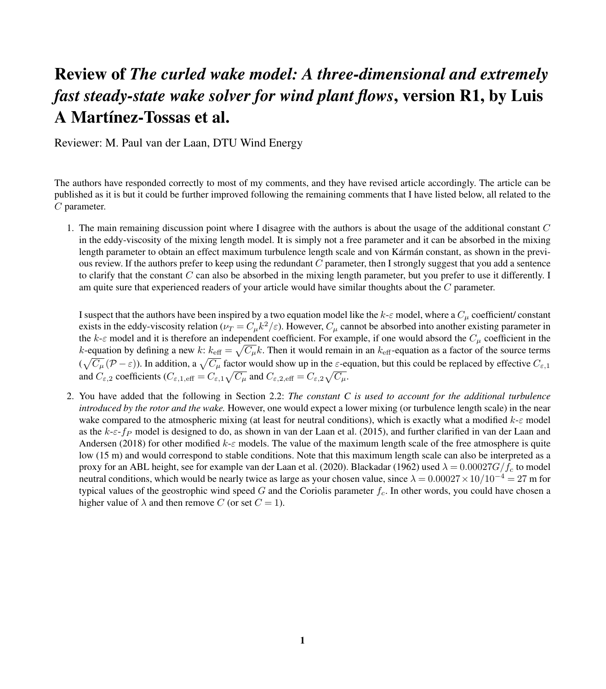## Review of *The curled wake model: A three-dimensional and extremely fast steady-state wake solver for wind plant flows*, version R1, by Luis A Martínez-Tossas et al.

Reviewer: M. Paul van der Laan, DTU Wind Energy

The authors have responded correctly to most of my comments, and they have revised article accordingly. The article can be published as it is but it could be further improved following the remaining comments that I have listed below, all related to the C parameter.

1. The main remaining discussion point where I disagree with the authors is about the usage of the additional constant  $C$ in the eddy-viscosity of the mixing length model. It is simply not a free parameter and it can be absorbed in the mixing length parameter to obtain an effect maximum turbulence length scale and von Kármán constant, as shown in the previous review. If the authors prefer to keep using the redundant  $C$  parameter, then I strongly suggest that you add a sentence to clarify that the constant  $C$  can also be absorbed in the mixing length parameter, but you prefer to use it differently. I am quite sure that experienced readers of your article would have similar thoughts about the C parameter.

I suspect that the authors have been inspired by a two equation model like the  $k$ - $\varepsilon$  model, where a  $C_u$  coefficient/ constant exists in the eddy-viscosity relation ( $\nu_T = C_\mu k^2/\varepsilon$ ). However,  $C_\mu$  cannot be absorbed into another existing parameter in the  $k-\varepsilon$  model and it is therefore an independent coefficient. For example, if one would absord the  $C_u$  coefficient in the k-equation by defining a new k:  $k_{\text{eff}} = \sqrt{C_{\mu}}k$ . Then it would remain in an  $k_{\text{eff}}$ -equation as a factor of the source terms  $(\sqrt{C_\mu}(\mathcal{P}-\varepsilon))$ . In addition, a  $\sqrt{C_\mu}$  factor would show up in the  $\varepsilon$ -equation, but this could be replaced by effective  $C_{\varepsilon,1}$ and  $C_{\varepsilon,2}$  coefficients ( $C_{\varepsilon,1,\text{eff}} = C_{\varepsilon,1}\sqrt{C_{\mu}}$  and  $C_{\varepsilon,2,\text{eff}} = C_{\varepsilon,2}\sqrt{C_{\mu}}$ .

2. You have added that the following in Section 2.2: *The constant C is used to account for the additional turbulence introduced by the rotor and the wake.* However, one would expect a lower mixing (or turbulence length scale) in the near wake compared to the atmospheric mixing (at least for neutral conditions), which is exactly what a modified  $k-\varepsilon$  model as the  $k-\epsilon$ -f<sub>P</sub> model is designed to do, as shown in [van der Laan et al.](#page-1-0) [\(2015\)](#page-1-0), and further clarified in [van der Laan and](#page-1-1) [Andersen](#page-1-1) [\(2018\)](#page-1-1) for other modified  $k-\varepsilon$  models. The value of the maximum length scale of the free atmosphere is quite low (15 m) and would correspond to stable conditions. Note that this maximum length scale can also be interpreted as a proxy for an ABL height, see for example [van der Laan et al.](#page-1-2) [\(2020\)](#page-1-2). [Blackadar](#page-1-3) [\(1962\)](#page-1-3) used  $\lambda = 0.00027G/f_c$  to model neutral conditions, which would be nearly twice as large as your chosen value, since  $\lambda = 0.00027 \times 10/10^{-4} = 27$  m for typical values of the geostrophic wind speed G and the Coriolis parameter  $f_c$ . In other words, you could have chosen a higher value of  $\lambda$  and then remove C (or set  $C = 1$ ).